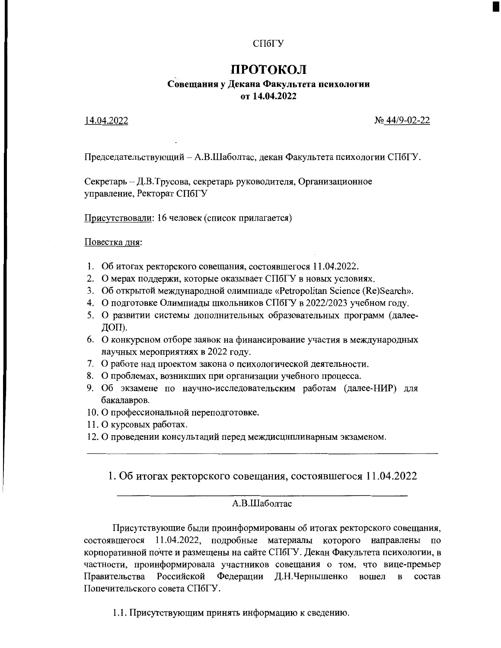### СПбГУ

## ПРОТОКОЛ

### Совещания у Декана Факультета психологии от 14.04.2022

### 14.04.2022

No 44/9-02-22

Председательствующий - А.В.Шаболтас, декан Факультета психологии СПбГУ.

Секретарь - Д.В.Трусова, секретарь руководителя, Организационное управление, Ректорат СПбГУ

Присутствовали: 16 человек (список прилагается)

Повестка дня:

- 1. Об итогах ректорского совещания, состоявшегося 11.04.2022.
- 2. О мерах поддержи, которые оказывает СПбГУ в новых условиях.
- 3. Об открытой международной олимпиаде «Petropolitan Science (Re)Search».
- 4. О подготовке Олимпиады школьников СПбГУ в 2022/2023 учебном году.
- 5. О развитии системы дополнительных образовательных программ (далее-ДОП).
- 6. О конкурсном отборе заявок на финансирование участия в международных научных мероприятиях в 2022 году.
- 7. О работе над проектом закона о психологической деятельности.
- 8. О проблемах, возникших при организации учебного процесса.
- 9. Об экзамене по научно-исследовательским работам (далее-НИР) для бакалавров.
- 10. О профессиональной переподготовке.
- 11. О курсовых работах.
- 12. О проведении консультаций перед междисциплинарным экзаменом.

1. Об итогах ректорского совещания, состоявшегося 11.04.2022

### А.В.Шаболтас

Присутствующие были проинформированы об итогах ректорского совещания, состоявшегося 11.04.2022, подробные материалы которого направлены по корпоративной почте и размещены на сайте СПбГУ. Декан Факультета психологии, в частности, проинформировала участников совещания о том, что вице-премьер Правительства Российской Федерации Д.Н.Чернышенко вошел  $\, {\bf B}$ состав Попечительского совета СПбГУ.

1.1. Присутствующим принять информацию к сведению.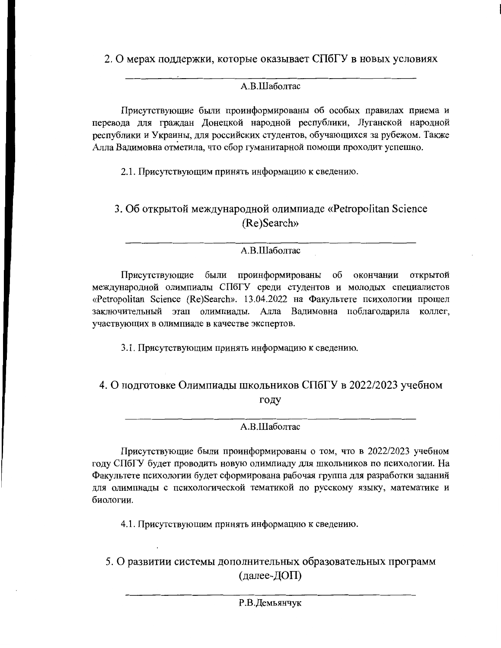2. О мерах поддержки, которые оказывает СПбГУ в новых условиях

## A.B.IIIаболтас

Присутствующие были проинформированы об особых правилах приема и перевода для граждан Донецкой народной республики, Луганской народной республики и Украины, для российских студентов, обучающихся за рубежом. Также Алла Вадимовна отметила, что сбор гуманитарной помощи проходит успешно.

2.1. Присутствующим принять информацию к сведению.

3. Об открытой международной олимпиаде «Petropolitan Science (Re)Search»

## А.В.Шаболтас

Присутствующие были проинформированы об окончании открытой международной олимпиады СПбГУ среди студентов и молодых специалистов «Petropolitan Science (Re)Search». 13.04.2022 на Факультете психологии прошел заключительный этап олимпиалы. Алла Вадимовна поблагодарила коллег, участвующих в олимпиаде в качестве экспертов.

3.1. Присутствующим принять информацию к сведению.

## 4. О подготовке Олимпиады школьников СПбГУ в 2022/2023 учебном году

## А.В.Шаболтас

Присутствующие были проинформированы о том, что в 2022/2023 учебном году СПбГУ будет проводить новую олимпиаду для школьников по психологии. На Факультете психологии будет сформирована рабочая группа для разработки заданий для олимпиады с психологической тематикой по русскому языку, математике и биологии.

4.1. Присутствующим принять информацию к сведению.

5. О развитии системы дополнительных образовательных программ (далее-ДОП)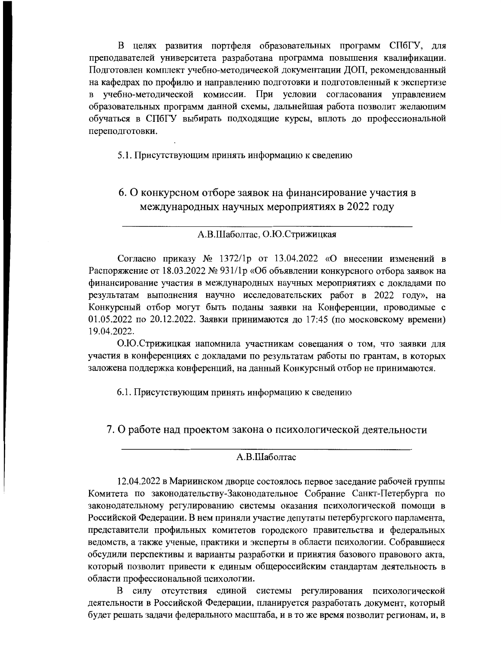В целях развития портфеля образовательных программ СПбГУ, для преподавателей университета разработана программа повышения квалификации. Подготовлен комплект учебно-методической документации ДОП, рекомендованный на кафедрах по профилю и направлению подготовки и подготовленный к экспертизе в учебно-методической комиссии. При условии согласования управлением образовательных программ данной схемы, дальнейшая работа позволит желающим обучаться в СПбГУ выбирать подходящие курсы, вплоть до профессиональной переподготовки.

5.1. Присутствующим принять информацию к сведению

## 6. О конкурсном отборе заявок на финансирование участия в международных научных мероприятиях в 2022 году

### А.В.Шаболтас, О.Ю.Стрижицкая

Согласно приказу  $N_2$  1372/1p от 13.04.2022 «О внесении изменений в Распоряжение от 18.03.2022 № 931/1р «Об объявлении конкурсного отбора заявок на финансирование участия в международных научных мероприятиях с докладами по результатам выполнения научно исследовательских работ в 2022 году», на Конкурсный отбор могут быть поданы заявки на Конференции, проводимые с 01.05.2022 по 20.12.2022. Заявки принимаются до 17:45 (по московскому времени) 19.04.2022.

О.Ю.Стрижицкая напомнила участникам совещания о том, что заявки для участия в конференциях с докладами по результатам работы по грантам, в которых заложена поддержка конференций, на данный Конкурсный отбор не принимаются.

6.1. Присутствующим принять информацию к сведению

7. О работе над проектом закона о психологической деятельности

#### А.В.Шаболтас

12.04.2022 в Мариинском дворце состоялось первое заседание рабочей группы Комитета по законодательству-Законодательное Собрание Санкт-Петербурга по законодательному регулированию системы оказания психологической помощи в Российской Федерации. В нем приняли участие депутаты петербургского парламента, представители профильных комитетов городского правительства и федеральных ведомств, а также ученые, практики и эксперты в области психологии. Собравшиеся обсудили перспективы и варианты разработки и принятия базового правового акта, который позволит привести к единым общероссийским стандартам деятельность в области профессиональной психологии.

В силу отсутствия единой системы регулирования психологической деятельности в Российской Федерации, планируется разработать документ, который будет решать задачи федерального масштаба, и в то же время позволит регионам, и, в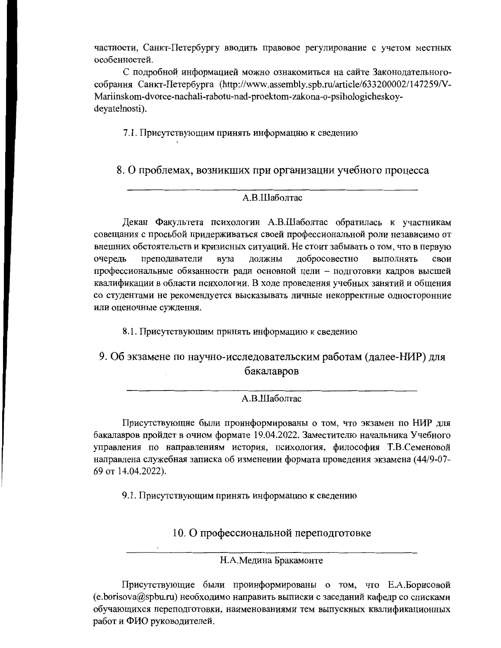частности, Санкт-Петербургу вводить правовое регулирование с учетом местных особенностей.

С подробной информацией можно ознакомиться на сайте Законодательногособрания Санкт-Петербурга (http://www.assembly.spb.ru/article/633200002/147259/V-Mariinskom-dvorce-nachali-rabotu-nad-proektom-zakona-o-psihologicheskoydeyatelnosti).

7.1. Присутствующим принять информацию к сведению

8. О проблемах, возникших при организации учебного процесса

### A.B.IIIаболтас

Декан Факультета психологии А.В.Шаболтас обратилась к участникам совещания с просьбой придерживаться своей профессиональной роли независимо от внешних обстоятельств и кризисных ситуаций. Не стоит забывать о том, что в первую добросовестно очередь преподаватели вуза должны выполнять свои профессиональные обязанности ради основной цели - подготовки кадров высшей квалификации в области психологии. В ходе проведения учебных занятий и общения со студентами не рекомендуется высказывать личные некорректные односторонние или оценочные суждения.

8.1. Присутствующим принять информацию к сведению

9. Об экзамене по научно-исследовательским работам (далее-НИР) для бакалавров

А.В.Шаболтас

Присутствующие были проинформированы о том, что экзамен по НИР для бакалавров пройдет в очном формате 19.04.2022. Заместителю начальника Учебного управления по направлениям история, психология, философия Т.В.Семеновой направлена служебная записка об изменении формата проведения экзамена (44/9-07-69 от 14.04.2022).

9.1. Присутствующим принять информацию к сведению

10. О профессиональной переподготовке

Н.А.Медина Бракамонте

Присутствующие были проинформированы о том, что Е.А.Борисовой (e.borisova@spbu.ru) необходимо направить выписки с заседаний кафедр со списками обучающихся переподготовки, наименованиями тем выпускных квалификационных работ и ФИО руководителей.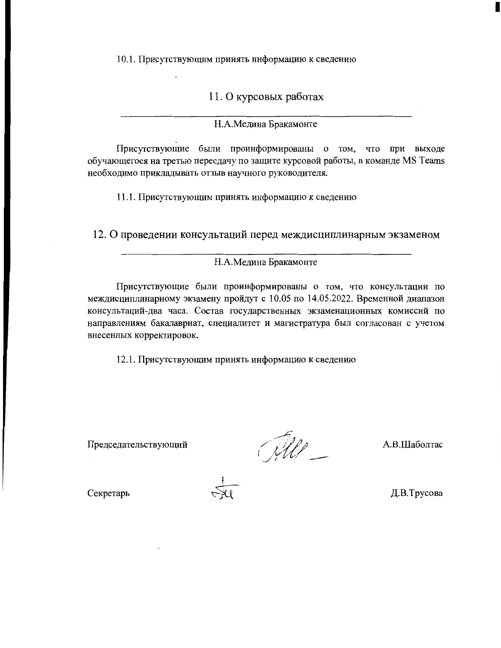10.1. Присутствующим принять информацию к сведению

11. О курсовых работах

Н.А.Медина Бракамонте

Присутствующие были проинформированы о том, что при выходе обучающегося на третью пересдачу по защите курсовой работы, в команде MS Teams необходимо прикладывать отзыв научного руководителя.

11.1. Присутствующим принять информацию к сведению

12. О проведении консультаций перед междисциплинарным экзаменом

Н.А.Медина Бракамонте

Присутствующие были проинформированы о том, что консультации по междисциплинарному экзамену пройдут с 10.05 по 14.05.2022. Временной диапазон консультаций-два часа. Состав государственных экзаменационных комиссий по направлениям бакалавриат, специалитет и магистратура был согласован с учетом внесенных корректировок.

12.1. Присутствующим принять информацию к сведению

Председательствующий

 $\frac{d}{dt}$ 

А.В.Шаболтас

Секретарь

Д.В.Трусова